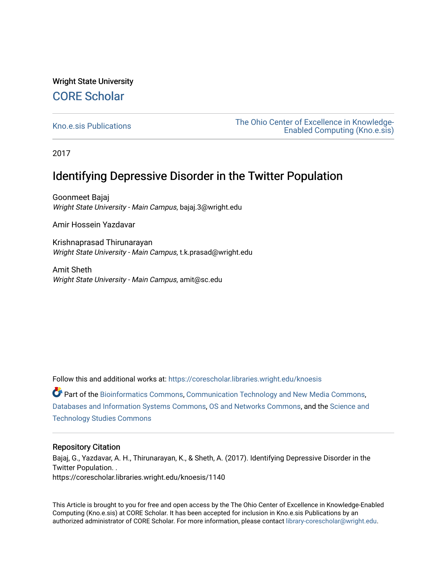## Wright State University [CORE Scholar](https://corescholar.libraries.wright.edu/)

[Kno.e.sis Publications](https://corescholar.libraries.wright.edu/knoesis) [The Ohio Center of Excellence in Knowledge-](https://corescholar.libraries.wright.edu/knoesis_comm)[Enabled Computing \(Kno.e.sis\)](https://corescholar.libraries.wright.edu/knoesis_comm) 

2017

# Identifying Depressive Disorder in the Twitter Population

Goonmeet Bajaj Wright State University - Main Campus, bajaj.3@wright.edu

Amir Hossein Yazdavar

Krishnaprasad Thirunarayan Wright State University - Main Campus, t.k.prasad@wright.edu

Amit Sheth Wright State University - Main Campus, amit@sc.edu

Follow this and additional works at: [https://corescholar.libraries.wright.edu/knoesis](https://corescholar.libraries.wright.edu/knoesis?utm_source=corescholar.libraries.wright.edu%2Fknoesis%2F1140&utm_medium=PDF&utm_campaign=PDFCoverPages) 

Part of the [Bioinformatics Commons,](http://network.bepress.com/hgg/discipline/110?utm_source=corescholar.libraries.wright.edu%2Fknoesis%2F1140&utm_medium=PDF&utm_campaign=PDFCoverPages) [Communication Technology and New Media Commons,](http://network.bepress.com/hgg/discipline/327?utm_source=corescholar.libraries.wright.edu%2Fknoesis%2F1140&utm_medium=PDF&utm_campaign=PDFCoverPages) [Databases and Information Systems Commons](http://network.bepress.com/hgg/discipline/145?utm_source=corescholar.libraries.wright.edu%2Fknoesis%2F1140&utm_medium=PDF&utm_campaign=PDFCoverPages), [OS and Networks Commons](http://network.bepress.com/hgg/discipline/149?utm_source=corescholar.libraries.wright.edu%2Fknoesis%2F1140&utm_medium=PDF&utm_campaign=PDFCoverPages), and the [Science and](http://network.bepress.com/hgg/discipline/435?utm_source=corescholar.libraries.wright.edu%2Fknoesis%2F1140&utm_medium=PDF&utm_campaign=PDFCoverPages) [Technology Studies Commons](http://network.bepress.com/hgg/discipline/435?utm_source=corescholar.libraries.wright.edu%2Fknoesis%2F1140&utm_medium=PDF&utm_campaign=PDFCoverPages) 

### Repository Citation

Bajaj, G., Yazdavar, A. H., Thirunarayan, K., & Sheth, A. (2017). Identifying Depressive Disorder in the Twitter Population. . https://corescholar.libraries.wright.edu/knoesis/1140

This Article is brought to you for free and open access by the The Ohio Center of Excellence in Knowledge-Enabled Computing (Kno.e.sis) at CORE Scholar. It has been accepted for inclusion in Kno.e.sis Publications by an authorized administrator of CORE Scholar. For more information, please contact [library-corescholar@wright.edu](mailto:library-corescholar@wright.edu).